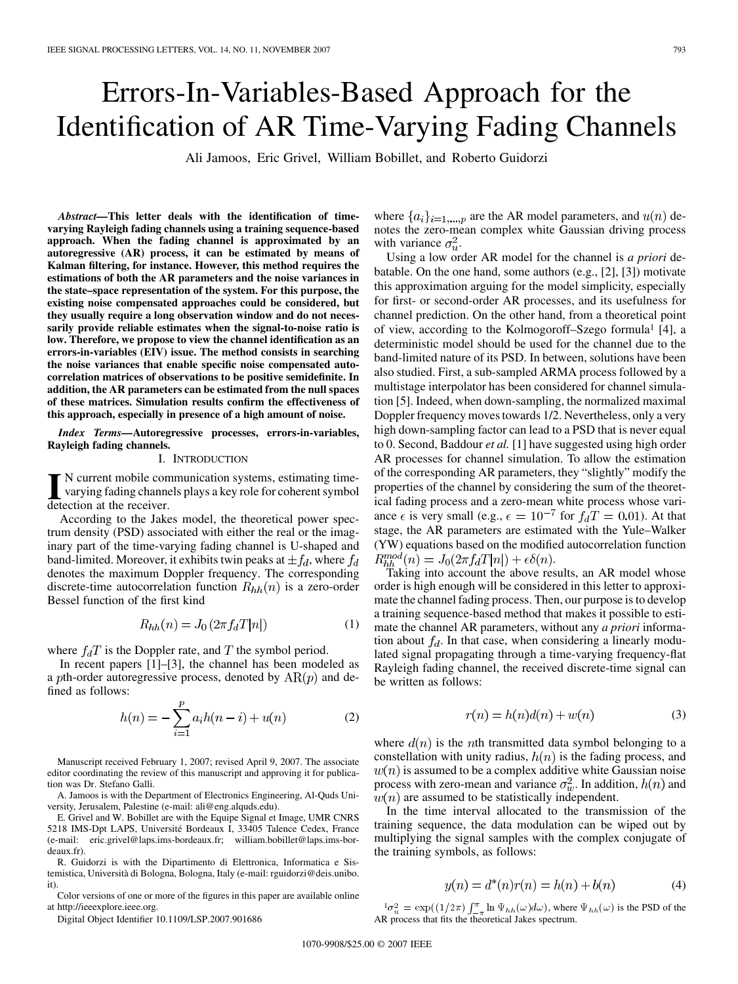# Errors-In-Variables-Based Approach for the Identification of AR Time-Varying Fading Channels

Ali Jamoos, Eric Grivel, William Bobillet, and Roberto Guidorzi

*Abstract—***This letter deals with the identification of timevarying Rayleigh fading channels using a training sequence-based approach. When the fading channel is approximated by an autoregressive (AR) process, it can be estimated by means of Kalman filtering, for instance. However, this method requires the estimations of both the AR parameters and the noise variances in the state–space representation of the system. For this purpose, the existing noise compensated approaches could be considered, but they usually require a long observation window and do not necessarily provide reliable estimates when the signal-to-noise ratio is low. Therefore, we propose to view the channel identification as an errors-in-variables (EIV) issue. The method consists in searching the noise variances that enable specific noise compensated autocorrelation matrices of observations to be positive semidefinite. In addition, the AR parameters can be estimated from the null spaces of these matrices. Simulation results confirm the effectiveness of this approach, especially in presence of a high amount of noise.**

*Index Terms—***Autoregressive processes, errors-in-variables, Rayleigh fading channels.**

#### I. INTRODUCTION

IN current mobile communication systems, estimating time-<br>varying fading channels plays a key role for coherent symbol<br>detection at the receiver varying fading channels plays a key role for coherent symbol detection at the receiver.

According to the Jakes model, the theoretical power spectrum density (PSD) associated with either the real or the imaginary part of the time-varying fading channel is U-shaped and band-limited. Moreover, it exhibits twin peaks at  $\pm f_d$ , where  $f_d$ denotes the maximum Doppler frequency. The corresponding discrete-time autocorrelation function  $R_{hh}(n)$  is a zero-order Bessel function of the first kind

$$
R_{hh}(n) = J_0 \left( 2\pi f_d T |n| \right) \tag{1}
$$

where  $f_dT$  is the Doppler rate, and T the symbol period.

In recent papers [1]–[3], the channel has been modeled as a pth-order autoregressive process, denoted by  $AR(p)$  and defined as follows:

$$
h(n) = -\sum_{i=1}^{p} a_i h(n-i) + u(n)
$$
 (2)

Manuscript received February 1, 2007; revised April 9, 2007. The associate editor coordinating the review of this manuscript and approving it for publication was Dr. Stefano Galli.

A. Jamoos is with the Department of Electronics Engineering, Al-Quds University, Jerusalem, Palestine (e-mail: ali@eng.alquds.edu).

E. Grivel and W. Bobillet are with the Equipe Signal et Image, UMR CNRS 5218 IMS-Dpt LAPS, Université Bordeaux I, 33405 Talence Cedex, France (e-mail: eric.grivel@laps.ims-bordeaux.fr; william.bobillet@laps.ims-bordeaux.fr).

R. Guidorzi is with the Dipartimento di Elettronica, Informatica e Sistemistica, Università di Bologna, Bologna, Italy (e-mail: rguidorzi@deis.unibo. it).

Color versions of one or more of the figures in this paper are available online at http://ieeexplore.ieee.org.

Digital Object Identifier 10.1109/LSP.2007.901686

where  $\{a_i\}_{i=1,\dots,p}$  are the AR model parameters, and  $u(n)$  denotes the zero-mean complex white Gaussian driving process with variance  $\sigma_u^2$ .

Using a low order AR model for the channel is *a priori* debatable. On the one hand, some authors (e.g., [2], [3]) motivate this approximation arguing for the model simplicity, especially for first- or second-order AR processes, and its usefulness for channel prediction. On the other hand, from a theoretical point of view, according to the Kolmogoroff–Szego formula1 [4], a deterministic model should be used for the channel due to the band-limited nature of its PSD. In between, solutions have been also studied. First, a sub-sampled ARMA process followed by a multistage interpolator has been considered for channel simulation [5]. Indeed, when down-sampling, the normalized maximal Doppler frequency moves towards 1/2. Nevertheless, only a very high down-sampling factor can lead to a PSD that is never equal to 0. Second, Baddour *et al.* [1] have suggested using high order AR processes for channel simulation. To allow the estimation of the corresponding AR parameters, they "slightly" modify the properties of the channel by considering the sum of the theoretical fading process and a zero-mean white process whose variance  $\epsilon$  is very small (e.g.,  $\epsilon = 10^{-7}$  for  $f_dT = 0.01$ ). At that stage, the AR parameters are estimated with the Yule–Walker (YW) equations based on the modified autocorrelation function  $R_{hh}^{mod}(n) = J_0(2\pi f_d T |n|) + \epsilon \delta(n).$ 

Taking into account the above results, an AR model whose order is high enough will be considered in this letter to approximate the channel fading process. Then, our purpose is to develop a training sequence-based method that makes it possible to estimate the channel AR parameters, without any *a priori* information about  $f_d$ . In that case, when considering a linearly modulated signal propagating through a time-varying frequency-flat Rayleigh fading channel, the received discrete-time signal can be written as follows:

$$
r(n) = h(n)d(n) + w(n)
$$
\n(3)

where  $d(n)$  is the *n*th transmitted data symbol belonging to a constellation with unity radius,  $h(n)$  is the fading process, and  $w(n)$  is assumed to be a complex additive white Gaussian noise process with zero-mean and variance  $\sigma_w^2$ . In addition,  $h(n)$  and  $w(n)$  are assumed to be statistically independent.

In the time interval allocated to the transmission of the training sequence, the data modulation can be wiped out by multiplying the signal samples with the complex conjugate of the training symbols, as follows:

$$
y(n) = d^*(n)r(n) = h(n) + b(n)
$$
 (4)

 ${}^1\sigma_u^2 = \exp((1/2\pi) \int_{-\pi}^{\pi} \ln \Psi_{hh}(\omega) d\omega)$ , where  $\Psi_{hh}(\omega)$  is the PSD of the AR process that fits the theoretical Jakes spectrum.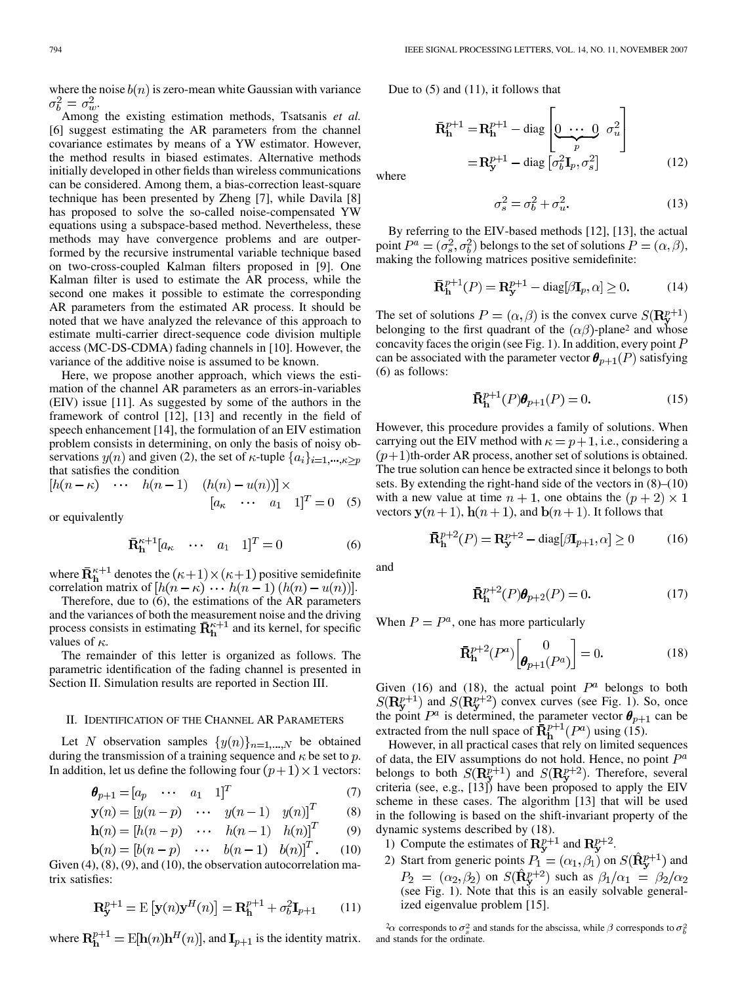where the noise  $b(n)$  is zero-mean white Gaussian with variance  $\sigma_b^2 = \sigma_w^2.$ 

Among the existing estimation methods, Tsatsanis *et al.* [6] suggest estimating the AR parameters from the channel covariance estimates by means of a YW estimator. However, the method results in biased estimates. Alternative methods initially developed in other fields than wireless communications can be considered. Among them, a bias-correction least-square technique has been presented by Zheng [7], while Davila [8] has proposed to solve the so-called noise-compensated YW equations using a subspace-based method. Nevertheless, these methods may have convergence problems and are outperformed by the recursive instrumental variable technique based on two-cross-coupled Kalman filters proposed in [9]. One Kalman filter is used to estimate the AR process, while the second one makes it possible to estimate the corresponding AR parameters from the estimated AR process. It should be noted that we have analyzed the relevance of this approach to estimate multi-carrier direct-sequence code division multiple access (MC-DS-CDMA) fading channels in [10]. However, the variance of the additive noise is assumed to be known.

Here, we propose another approach, which views the estimation of the channel AR parameters as an errors-in-variables (EIV) issue [11]. As suggested by some of the authors in the framework of control [12], [13] and recently in the field of speech enhancement [14], the formulation of an EIV estimation problem consists in determining, on only the basis of noisy observations  $y(n)$  and given (2), the set of  $\kappa$ -tuple  $\{a_i\}_{i=1,\dots,\kappa}$ <sub>p</sub> that satisfies the condition

$$
[h(n - \kappa) \quad \cdots \quad h(n - 1) \quad (h(n) - u(n))] \times [a_{\kappa} \quad \cdots \quad a_1 \quad 1]^T = 0 \quad (5)
$$

or equivalently

$$
\bar{\mathbf{R}}_{\mathbf{h}}^{\kappa+1}[a_{\kappa} \quad \cdots \quad a_1 \quad 1]^T = 0 \tag{6}
$$

where  $\bar{\mathbf{R}}_h^{\kappa+1}$  denotes the  $(\kappa+1) \times (\kappa+1)$  positive semidefinite correlation matrix of  $[h(n - \kappa) \cdots h(n-1) (h(n) - u(n))].$ 

Therefore, due to (6), the estimations of the AR parameters and the variances of both the measurement noise and the driving process consists in estimating  $\bar{R}^{\kappa+1}$  and its kernel, for specific values of  $\kappa$ .

The remainder of this letter is organized as follows. The parametric identification of the fading channel is presented in Section II. Simulation results are reported in Section III.

#### II. IDENTIFICATION OF THE CHANNEL AR PARAMETERS

Let N observation samples  $\{y(n)\}_{n=1,\dots,N}$  be obtained during the transmission of a training sequence and  $\kappa$  be set to  $p$ . In addition, let us define the following four  $(p+1) \times 1$  vectors:

$$
\boldsymbol{\theta}_{p+1} = [a_p \quad \cdots \quad a_1 \quad 1]^T \tag{7}
$$

$$
\mathbf{y}(n) = [y(n-p) \quad \cdots \quad y(n-1) \quad y(n)]^T \tag{8}
$$

$$
\mathbf{h}(n) = \begin{bmatrix} h(n-p) & \cdots & h(n-1) & h(n) \end{bmatrix}^T \tag{9}
$$

$$
\mathbf{b}(n) = [b(n-p) \cdots b(n-1) \ b(n)]^{T}.
$$
 (10)

Given (4), (8), (9), and (10), the observation autocorrelation matrix satisfies:

$$
\mathbf{R}_{\mathbf{y}}^{p+1} = \mathbf{E}\left[\mathbf{y}(n)\mathbf{y}^H(n)\right] = \mathbf{R}_{\mathbf{h}}^{p+1} + \sigma_b^2 \mathbf{I}_{p+1} \tag{11}
$$

where  $\mathbf{R}_{\mathbf{h}}^{p+1} = \text{E}[\mathbf{h}(n)\mathbf{h}^H(n)]$ , and  $\mathbf{I}_{p+1}$  is the identity matrix.

Due to (5) and (11), it follows that

$$
\mathbf{\bar{R}}_{\mathbf{h}}^{p+1} = \mathbf{R}_{\mathbf{h}}^{p+1} - \text{diag}\left[\underbrace{0 \cdots 0}_{p} \sigma_{u}^{2}\right]
$$
\n
$$
= \mathbf{R}_{\mathbf{y}}^{p+1} - \text{diag}\left[\sigma_{b}^{2} \mathbf{I}_{p}, \sigma_{s}^{2}\right]
$$
\n(12)

where

$$
\sigma_s^2 = \sigma_b^2 + \sigma_u^2. \tag{13}
$$

By referring to the EIV-based methods [12], [13], the actual point  $P^a = (\sigma_s^2, \sigma_b^2)$  belongs to the set of solutions  $P = (\alpha, \beta)$ , making the following matrices positive semidefinite:

$$
\bar{\mathbf{R}}_h^{p+1}(P) = \mathbf{R}_\mathbf{y}^{p+1} - \text{diag}[\beta \mathbf{I}_p, \alpha] \ge 0. \tag{14}
$$

The set of solutions  $P = (\alpha, \beta)$  is the convex curve  $S(\mathbb{R}^{p+1}_v)$ belonging to the first quadrant of the  $(\alpha\beta)$ -plane<sup>2</sup> and whose concavity faces the origin (see Fig. 1). In addition, every point  $P$ can be associated with the parameter vector  $\theta_{p+1}(P)$  satisfying (6) as follows:

$$
\mathbf{\bar{R}}_{\mathbf{h}}^{p+1}(P)\boldsymbol{\theta}_{p+1}(P) = 0.
$$
 (15)

However, this procedure provides a family of solutions. When carrying out the EIV method with  $\kappa = p + 1$ , i.e., considering a  $(p+1)$ th-order AR process, another set of solutions is obtained. The true solution can hence be extracted since it belongs to both sets. By extending the right-hand side of the vectors in (8)–(10) with a new value at time  $n + 1$ , one obtains the  $(p + 2) \times 1$ vectors  $y(n + 1)$ ,  $h(n + 1)$ , and  $b(n + 1)$ . It follows that

$$
\bar{\mathbf{R}}_h^{p+2}(P) = \mathbf{R}_\mathbf{y}^{p+2} - \text{diag}[\beta \mathbf{I}_{p+1}, \alpha] \ge 0 \tag{16}
$$

and

$$
\mathbf{\bar{R}}_{\mathbf{h}}^{p+2}(P)\boldsymbol{\theta}_{p+2}(P) = 0.
$$
 (17)

When  $P = P<sup>a</sup>$ , one has more particularly

$$
\bar{\mathbf{R}}_{\mathbf{h}}^{p+2}(P^a) \begin{bmatrix} 0\\ \theta_{p+1}(P^a) \end{bmatrix} = 0.
$$
 (18)

Given (16) and (18), the actual point  $P^a$  belongs to both and  $S(\mathbf{R}_{\mathbf{v}}^{p+2})$  convex curves (see Fig. 1). So, once the point  $P^a$  is determined, the parameter vector  $\theta_{p+1}$  can be extracted from the null space of  $\mathbf{\bar{R}}^{p+1}_{\mathbf{h}}(P^a)$  using (15).

However, in all practical cases that rely on limited sequences of data, the EIV assumptions do not hold. Hence, no point  $P^a$ belongs to both  $S(\mathbf{R}_{\mathbf{v}}^{p+1})$  and  $S(\mathbf{R}_{\mathbf{v}}^{p+2})$ . Therefore, several criteria (see, e.g., [13]) have been proposed to apply the EIV scheme in these cases. The algorithm [13] that will be used in the following is based on the shift-invariant property of the dynamic systems described by (18).

- 1) Compute the estimates of  $\mathbb{R}^{p+1}_v$  and  $\mathbb{R}^{p+2}_v$ .
- 2) Start from generic points  $P_1 = (\alpha_1, \beta_1)$  on  $S(\widehat{\mathbf{R}}_{\mathbf{v}}^{p+1})$  and on  $S(\mathbf{R}_{v}^{p+2})$  such as (see Fig. 1). Note that this is an easily solvable generalized eigenvalue problem [15].

 $\alpha^2 \alpha$  corresponds to  $\sigma_s^2$  and stands for the abscissa, while  $\beta$  corresponds to  $\sigma_b^2$ and stands for the ordinate.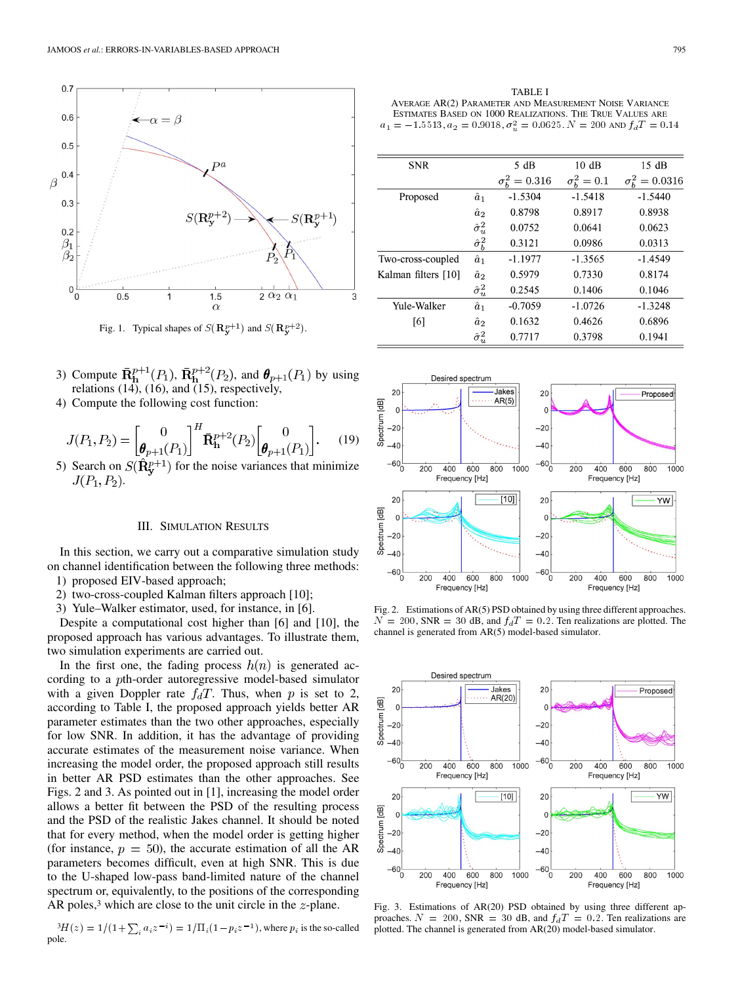

Fig. 1. Typical shapes of  $S(\mathbf{R}_{\mathbf{y}}^{p+1})$  and  $S(\mathbf{R}_{\mathbf{y}}^{p+2})$ .

- 3) Compute  $\mathbf{R}_{h}^{p+1}(P_1)$ ,  $\mathbf{R}_{h}^{p+2}(P_2)$ , and  $\boldsymbol{\theta}_{p+1}(P_1)$  by using relations (14), (16), and (15), respectively,
- 4) Compute the following cost function:

$$
J(P_1, P_2) = \begin{bmatrix} 0 \\ \boldsymbol{\theta}_{p+1}(P_1) \end{bmatrix}^H \mathbf{R}_{\mathbf{h}}^{p+2}(P_2) \begin{bmatrix} 0 \\ \boldsymbol{\theta}_{p+1}(P_1) \end{bmatrix}.
$$
 (19)

5) Search on  $S(\mathbf{R}_{v}^{p+1})$  for the noise variances that minimize  $J(P_1, P_2)$ .

### III. SIMULATION RESULTS

In this section, we carry out a comparative simulation study on channel identification between the following three methods: 1) proposed EIV-based approach;

- 2) two-cross-coupled Kalman filters approach [10];
- 3) Yule–Walker estimator, used, for instance, in [6].

Despite a computational cost higher than [6] and [10], the proposed approach has various advantages. To illustrate them, two simulation experiments are carried out.

In the first one, the fading process  $h(n)$  is generated according to a pth-order autoregressive model-based simulator with a given Doppler rate  $f_dT$ . Thus, when p is set to 2, according to Table I, the proposed approach yields better AR parameter estimates than the two other approaches, especially for low SNR. In addition, it has the advantage of providing accurate estimates of the measurement noise variance. When increasing the model order, the proposed approach still results in better AR PSD estimates than the other approaches. See Figs. 2 and 3. As pointed out in [1], increasing the model order allows a better fit between the PSD of the resulting process and the PSD of the realistic Jakes channel. It should be noted that for every method, when the model order is getting higher (for instance,  $p = 50$ ), the accurate estimation of all the AR parameters becomes difficult, even at high SNR. This is due to the U-shaped low-pass band-limited nature of the channel spectrum or, equivalently, to the positions of the corresponding AR poles,<sup>3</sup> which are close to the unit circle in the  $z$ -plane.

 ${}^{3}H(z)=1/(1+ \sum_{i} a_{i} z^{-i})=1/\prod_{i} (1-p_{i} z^{-1})$ , where  $p_{i}$  is the so-called pole.

TABLE I AVERAGE AR(2) PARAMETER AND MEASUREMENT NOISE VARIANCE ESTIMATES BASED ON 1000 REALIZATIONS. THE TRUE VALUES ARE  $a_1 = -1.5513, a_2 = 0.9018, \sigma_u^2 = 0.0625$ .  $N = 200$  and  $f_dT = 0.14$ 

| <b>SNR</b>          |                    | 5 dB                     | 10dB             | 15dB                      |
|---------------------|--------------------|--------------------------|------------------|---------------------------|
|                     |                    | $\sigma_{h}^{2} = 0.316$ | $\sigma_b^2=0.1$ | $\sigma_{h}^{2} = 0.0316$ |
| Proposed            | $\hat{a}_1$        | $-1.5304$                | $-1.5418$        | $-1.5440$                 |
|                     | $\hat{a}_2$        | 0.8798                   | 0.8917           | 0.8938                    |
|                     | $\hat{\sigma}^2_u$ | 0.0752                   | 0.0641           | 0.0623                    |
|                     | $\hat{\sigma}_b^2$ | 0.3121                   | 0.0986           | 0.0313                    |
| Two-cross-coupled   | $\hat{a}_1$        | $-1.1977$                | $-1.3565$        | $-1.4549$                 |
| Kalman filters [10] | $\hat{a}_2$        | 0.5979                   | 0.7330           | 0.8174                    |
|                     | $\hat{\sigma}_u^2$ | 0.2545                   | 0.1406           | 0.1046                    |
| Yule-Walker         | $\hat{a}_1$        | $-0.7059$                | $-1.0726$        | $-1.3248$                 |
| [6]                 | $\hat{a}_2$        | 0.1632                   | 0.4626           | 0.6896                    |
|                     | $\hat{\sigma}^2_u$ | 0.7717                   | 0.3798           | 0.1941                    |



Fig. 2. Estimations of AR(5) PSD obtained by using three different approaches.  $N = 200$ , SNR = 30 dB, and  $f_dT = 0.2$ . Ten realizations are plotted. The channel is generated from AR(5) model-based simulator.



Fig. 3. Estimations of AR(20) PSD obtained by using three different approaches.  $N = 200$ , SNR = 30 dB, and  $f<sub>d</sub>T = 0.2$ . Ten realizations are plotted. The channel is generated from AR(20) model-based simulator.